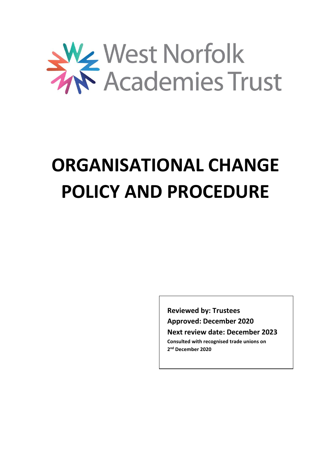

# **ORGANISATIONAL CHANGE POLICY AND PROCEDURE**

**Reviewed by: Trustees Approved: December 2020 Next review date: December 2023 Consulted with recognised trade unions on 2 nd December 2020**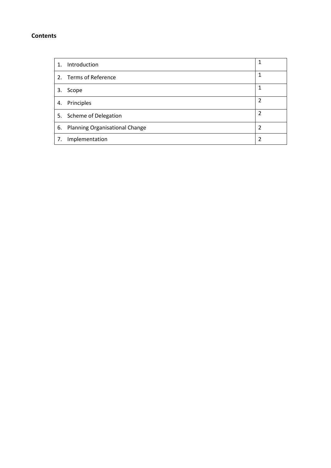## **Contents**

| $\mathbf{1}$ . | Introduction                   | 1              |
|----------------|--------------------------------|----------------|
|                | 2. Terms of Reference          | 1              |
| 3.             | Scope                          | 1              |
| 4.             | Principles                     | $\overline{2}$ |
|                | 5. Scheme of Delegation        | 2              |
| 6.             | Planning Organisational Change | 2              |
| 7.             | Implementation                 | 2              |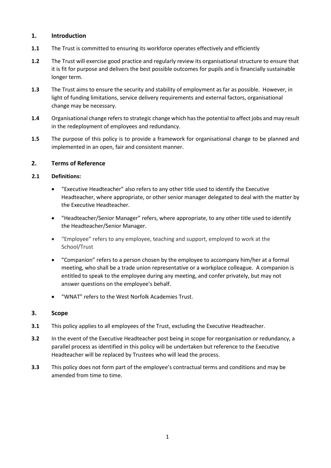## **1. Introduction**

- **1.1** The Trust is committed to ensuring its workforce operates effectively and efficiently
- **1.2** The Trust will exercise good practice and regularly review its organisational structure to ensure that it is fit for purpose and delivers the best possible outcomes for pupils and is financially sustainable longer term.
- **1.3** The Trust aims to ensure the security and stability of employment as far as possible. However, in light of funding limitations, service delivery requirements and external factors, organisational change may be necessary.
- **1.4** Organisational change refers to strategic change which has the potential to affect jobs and may result in the redeployment of employees and redundancy.
- **1.5** The purpose of this policy is to provide a framework for organisational change to be planned and implemented in an open, fair and consistent manner.

#### **2. Terms of Reference**

#### **2.1 Definitions:**

- "Executive Headteacher" also refers to any other title used to identify the Executive Headteacher, where appropriate, or other senior manager delegated to deal with the matter by the Executive Headteacher.
- "Headteacher/Senior Manager" refers, where appropriate, to any other title used to identify the Headteacher/Senior Manager.
- "Employee" refers to any employee, teaching and support, employed to work at the School/Trust
- "Companion" refers to a person chosen by the employee to accompany him/her at a formal meeting, who shall be a trade union representative or a workplace colleague. A companion is entitled to speak to the employee during any meeting, and confer privately, but may not answer questions on the employee's behalf.
- "WNAT" refers to the West Norfolk Academies Trust.

#### **3. Scope**

- **3.1** This policy applies to all employees of the Trust, excluding the Executive Headteacher.
- **3.2** In the event of the Executive Headteacher post being in scope for reorganisation or redundancy, a parallel process as identified in this policy will be undertaken but reference to the Executive Headteacher will be replaced by Trustees who will lead the process.
- **3.3** This policy does not form part of the employee's contractual terms and conditions and may be amended from time to time.